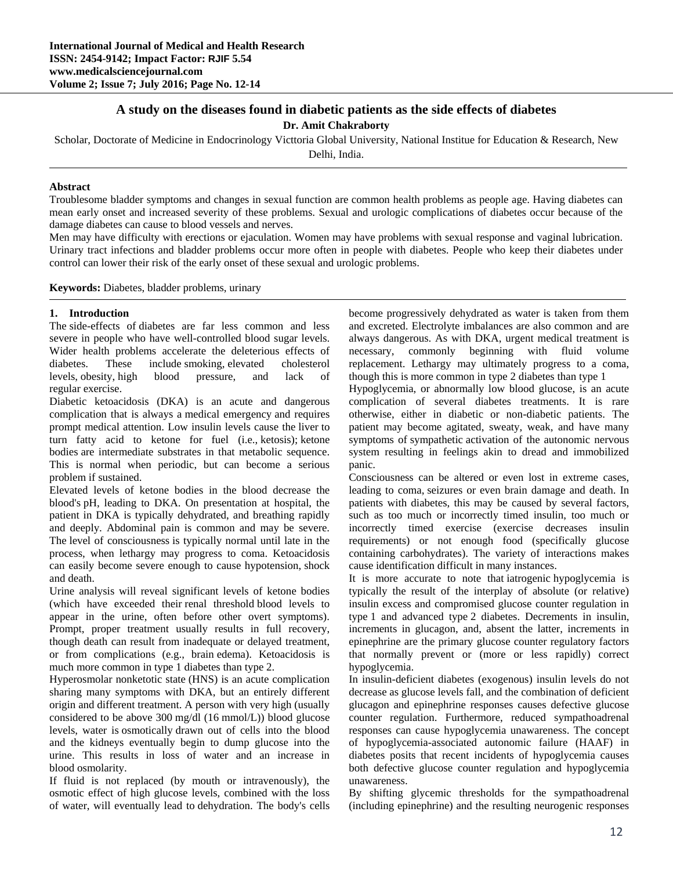# **A study on the diseases found in diabetic patients as the side effects of diabetes**

**Dr. Amit Chakraborty**

Scholar, Doctorate of Medicine in Endocrinology Victtoria Global University, National Institue for Education & Research, New Delhi, India.

### **Abstract**

Troublesome bladder symptoms and changes in sexual function are common health problems as people age. Having diabetes can mean early onset and increased severity of these problems. Sexual and urologic complications of diabetes occur because of the damage diabetes can cause to blood vessels and nerves.

Men may have difficulty with erections or ejaculation. Women may have problems with sexual response and vaginal lubrication. Urinary tract infections and bladder problems occur more often in people with diabetes. People who keep their diabetes under control can lower their risk of the early onset of these sexual and urologic problems.

**Keywords:** Diabetes, bladder problems, urinary

### **1. Introduction**

The side-effects of diabetes are far less common and less severe in people who have well-controlled blood sugar levels. Wider health problems accelerate the deleterious effects of diabetes. These include smoking, elevated cholesterol levels, obesity, high blood pressure, and lack of regular exercise.

Diabetic ketoacidosis (DKA) is an acute and dangerous complication that is always a medical emergency and requires prompt medical attention. Low insulin levels cause the liver to turn fatty acid to ketone for fuel (i.e., ketosis); ketone bodies are intermediate substrates in that metabolic sequence. This is normal when periodic, but can become a serious problem if sustained.

Elevated levels of ketone bodies in the blood decrease the blood's pH, leading to DKA. On presentation at hospital, the patient in DKA is typically dehydrated, and breathing rapidly and deeply. Abdominal pain is common and may be severe. The level of consciousness is typically normal until late in the process, when lethargy may progress to coma. Ketoacidosis can easily become severe enough to cause hypotension, shock and death.

Urine analysis will reveal significant levels of ketone bodies (which have exceeded their renal threshold blood levels to appear in the urine, often before other overt symptoms). Prompt, proper treatment usually results in full recovery, though death can result from inadequate or delayed treatment, or from complications (e.g., brain edema). Ketoacidosis is much more common in type 1 diabetes than type 2.

Hyperosmolar nonketotic state (HNS) is an acute complication sharing many symptoms with DKA, but an entirely different origin and different treatment. A person with very high (usually considered to be above 300 mg/dl (16 mmol/L)) blood glucose levels, water is osmotically drawn out of cells into the blood and the kidneys eventually begin to dump glucose into the urine. This results in loss of water and an increase in blood osmolarity.

If fluid is not replaced (by mouth or intravenously), the osmotic effect of high glucose levels, combined with the loss of water, will eventually lead to dehydration. The body's cells

become progressively dehydrated as water is taken from them and excreted. Electrolyte imbalances are also common and are always dangerous. As with DKA, urgent medical treatment is necessary, commonly beginning with fluid volume replacement. Lethargy may ultimately progress to a coma, though this is more common in type 2 diabetes than type 1

Hypoglycemia, or abnormally low blood glucose, is an acute complication of several diabetes treatments. It is rare otherwise, either in diabetic or non-diabetic patients. The patient may become agitated, sweaty, weak, and have many symptoms of sympathetic activation of the autonomic nervous system resulting in feelings akin to dread and immobilized panic.

Consciousness can be altered or even lost in extreme cases, leading to coma, seizures or even brain damage and death. In patients with diabetes, this may be caused by several factors, such as too much or incorrectly timed insulin, too much or incorrectly timed exercise (exercise decreases insulin requirements) or not enough food (specifically glucose containing carbohydrates). The variety of interactions makes cause identification difficult in many instances.

It is more accurate to note that iatrogenic hypoglycemia is typically the result of the interplay of absolute (or relative) insulin excess and compromised glucose counter regulation in type 1 and advanced type 2 diabetes. Decrements in insulin, increments in glucagon, and, absent the latter, increments in epinephrine are the primary glucose counter regulatory factors that normally prevent or (more or less rapidly) correct hypoglycemia.

In insulin-deficient diabetes (exogenous) insulin levels do not decrease as glucose levels fall, and the combination of deficient glucagon and epinephrine responses causes defective glucose counter regulation. Furthermore, reduced sympathoadrenal responses can cause hypoglycemia unawareness. The concept of hypoglycemia-associated autonomic failure (HAAF) in diabetes posits that recent incidents of hypoglycemia causes both defective glucose counter regulation and hypoglycemia unawareness.

By shifting glycemic thresholds for the sympathoadrenal (including epinephrine) and the resulting neurogenic responses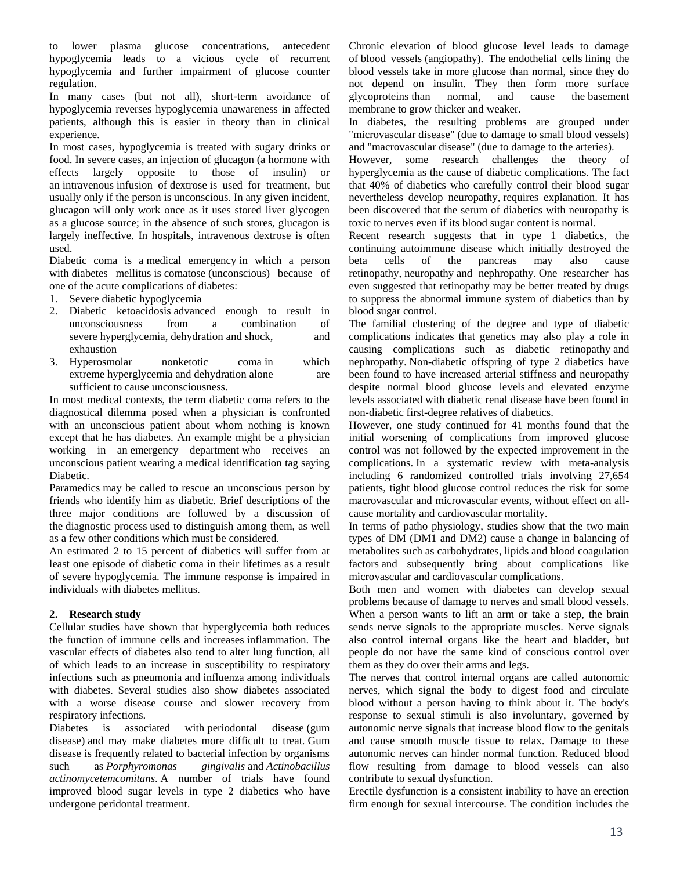to lower plasma glucose concentrations, antecedent hypoglycemia leads to a vicious cycle of recurrent hypoglycemia and further impairment of glucose counter regulation.

In many cases (but not all), short-term avoidance of hypoglycemia reverses hypoglycemia unawareness in affected patients, although this is easier in theory than in clinical experience.

In most cases, hypoglycemia is treated with sugary drinks or food. In severe cases, an injection of glucagon (a hormone with effects largely opposite to those of insulin) or an intravenous infusion of dextrose is used for treatment, but usually only if the person is unconscious. In any given incident, glucagon will only work once as it uses stored liver glycogen as a glucose source; in the absence of such stores, glucagon is largely ineffective. In hospitals, intravenous dextrose is often used.

Diabetic coma is a medical emergency in which a person with diabetes mellitus is comatose (unconscious) because of one of the acute complications of diabetes:

- 1. Severe diabetic hypoglycemia
- 2. Diabetic ketoacidosis advanced enough to result in unconsciousness from a combination of severe hyperglycemia, dehydration and shock, and exhaustion
- 3. Hyperosmolar nonketotic coma in which extreme hyperglycemia and dehydration alone are sufficient to cause unconsciousness.

In most medical contexts, the term diabetic coma refers to the diagnostical dilemma posed when a physician is confronted with an unconscious patient about whom nothing is known except that he has diabetes. An example might be a physician working in an emergency department who receives an unconscious patient wearing a medical identification tag saying Diabetic.

Paramedics may be called to rescue an unconscious person by friends who identify him as diabetic. Brief descriptions of the three major conditions are followed by a discussion of the diagnostic process used to distinguish among them, as well as a few other conditions which must be considered.

An estimated 2 to 15 percent of diabetics will suffer from at least one episode of diabetic coma in their lifetimes as a result of severe hypoglycemia. The immune response is impaired in individuals with diabetes mellitus.

## **2. Research study**

Cellular studies have shown that hyperglycemia both reduces the function of immune cells and increases inflammation. The vascular effects of diabetes also tend to alter lung function, all of which leads to an increase in susceptibility to respiratory infections such as pneumonia and influenza among individuals with diabetes. Several studies also show diabetes associated with a worse disease course and slower recovery from respiratory infections.

Diabetes is associated with periodontal disease (gum disease) and may make diabetes more difficult to treat. Gum disease is frequently related to bacterial infection by organisms such as *Porphyromonas gingivalis* and *Actinobacillus actinomycetemcomitans*. A number of trials have found improved blood sugar levels in type 2 diabetics who have undergone peridontal treatment.

Chronic elevation of blood glucose level leads to damage of blood vessels (angiopathy). The endothelial cells lining the blood vessels take in more glucose than normal, since they do not depend on insulin. They then form more surface glycoproteins than normal, and cause the basement membrane to grow thicker and weaker.

In diabetes, the resulting problems are grouped under "microvascular disease" (due to damage to small blood vessels) and "macrovascular disease" (due to damage to the arteries).

However, some research challenges the theory of hyperglycemia as the cause of diabetic complications. The fact that 40% of diabetics who carefully control their blood sugar nevertheless develop neuropathy, requires explanation. It has been discovered that the serum of diabetics with neuropathy is toxic to nerves even if its blood sugar content is normal.

Recent research suggests that in type 1 diabetics, the continuing autoimmune disease which initially destroyed the beta cells of the pancreas may also cause retinopathy, neuropathy and nephropathy. One researcher has even suggested that retinopathy may be better treated by drugs to suppress the abnormal immune system of diabetics than by blood sugar control.

The familial clustering of the degree and type of diabetic complications indicates that genetics may also play a role in causing complications such as diabetic retinopathy and nephropathy. Non-diabetic offspring of type 2 diabetics have been found to have increased arterial stiffness and neuropathy despite normal blood glucose levels and elevated enzyme levels associated with diabetic renal disease have been found in non-diabetic first-degree relatives of diabetics.

However, one study continued for 41 months found that the initial worsening of complications from improved glucose control was not followed by the expected improvement in the complications. In a systematic review with meta-analysis including 6 randomized controlled trials involving 27,654 patients, tight blood glucose control reduces the risk for some macrovascular and microvascular events, without effect on allcause mortality and cardiovascular mortality.

In terms of patho physiology, studies show that the two main types of DM (DM1 and DM2) cause a change in balancing of metabolites such as carbohydrates, lipids and blood coagulation factors and subsequently bring about complications like microvascular and cardiovascular complications.

Both men and women with diabetes can develop sexual problems because of damage to nerves and small blood vessels. When a person wants to lift an arm or take a step, the brain sends nerve signals to the appropriate muscles. Nerve signals also control internal organs like the heart and bladder, but people do not have the same kind of conscious control over them as they do over their arms and legs.

The nerves that control internal organs are called autonomic nerves, which signal the body to digest food and circulate blood without a person having to think about it. The body's response to sexual stimuli is also involuntary, governed by autonomic nerve signals that increase blood flow to the genitals and cause smooth muscle tissue to relax. Damage to these autonomic nerves can hinder normal function. Reduced blood flow resulting from damage to blood vessels can also contribute to sexual dysfunction.

Erectile dysfunction is a consistent inability to have an erection firm enough for sexual intercourse. The condition includes the